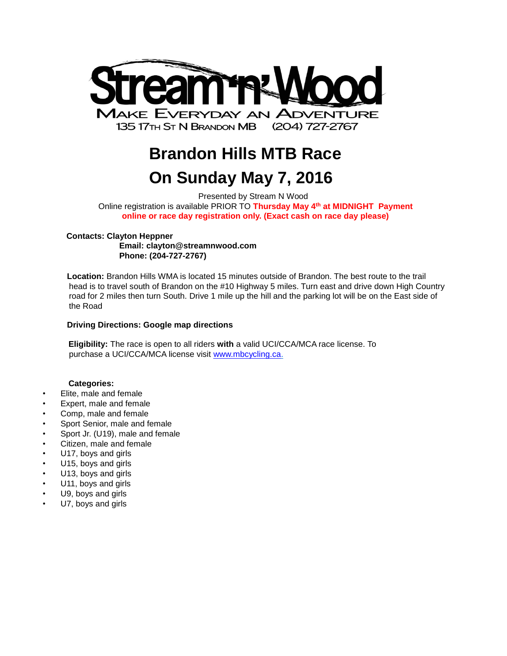

# **Brandon Hills MTB Race On Sunday May 7, 2016**

Presented by Stream N Wood Online registration is available PRIOR TO **Thursday May 4th at MIDNIGHT Payment online or race day registration only. (Exact cash on race day please)**

## **Contacts: Clayton Heppner**

**Email: [clayton@streamnwood.com](mailto:clayton@streamnwood.com) Phone: (204-727-2767)**

**Location:** Brandon Hills WMA is located 15 minutes outside of Brandon. The best route to the trail head is to travel south of Brandon on the #10 Highway 5 miles. Turn east and drive down High Country road for 2 miles then turn South. Drive 1 mile up the hill and the parking lot will be on the East side of the Road

# **Driving Directions: [Google map](https://www.google.ca/maps/place/Brandon+Hills+WMA+trailhead/@49.7167413,-99.9116151,14.46z/data=!4m2!3m1!1s0x0000000000000000:0xe337a6c364cb423f) directions**

**Eligibility:** The race is open to all riders **with** a valid UCI/CCA/MCA race license. To purchase a UCI/CCA/MCA license visit [www.mbcycling.ca.](http://www.mbcycling.ca/)

# **Categories:**

- Elite, male and female
- Expert, male and female
- Comp, male and female
- Sport Senior, male and female
- Sport Jr. (U19), male and female
- Citizen, male and female
- U17, boys and girls
- U15, boys and girls
- U13, boys and girls
- U11, boys and girls
- U9, boys and girls
- U7, boys and girls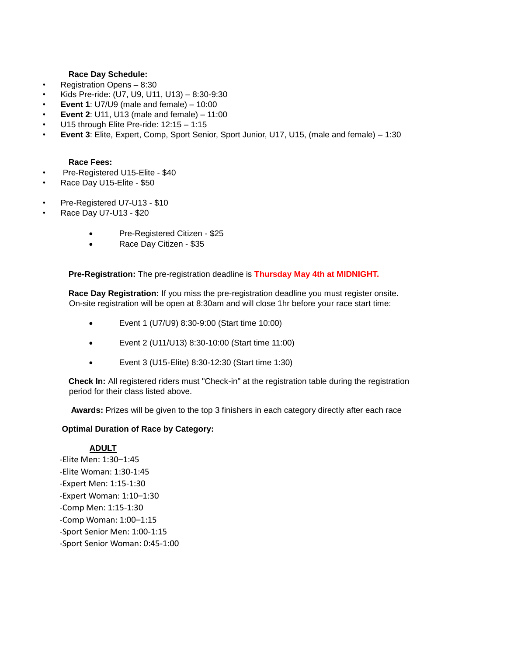## **Race Day Schedule:**

- Registration Opens 8:30
- Kids Pre-ride: (U7, U9, U11, U13) 8:30-9:30
- **Event 1**: U7/U9 (male and female) 10:00
- **Event 2**: U11, U13 (male and female) 11:00
- U15 through Elite Pre-ride: 12:15 1:15
- **Event 3**: Elite, Expert, Comp, Sport Senior, Sport Junior, U17, U15, (male and female) 1:30

## **Race Fees:**

- Pre-Registered U15-Elite \$40
- Race Day U15-Elite \$50
- Pre-Registered U7-U13 \$10
- Race Day U7-U13 \$20
	- Pre-Registered Citizen \$25
	- Race Day Citizen \$35

**Pre-Registration:** The pre-registration deadline is **Thursday May 4th at MIDNIGHT.**

**Race Day Registration:** If you miss the pre-registration deadline you must register onsite. On-site registration will be open at 8:30am and will close 1hr before your race start time:

- Event 1 (U7/U9) 8:30-9:00 (Start time 10:00)
- Event 2 (U11/U13) 8:30-10:00 (Start time 11:00)
- Event 3 (U15-Elite) 8:30-12:30 (Start time 1:30)

**Check In:** All registered riders must "Check-in" at the registration table during the registration period for their class listed above.

**Awards:** Prizes will be given to the top 3 finishers in each category directly after each race

## **Optimal Duration of Race by Category:**

## **ADULT**

-Elite Men: 1:30–1:45 -Elite Woman: 1:30-1:45 -Expert Men: 1:15-1:30 -Expert Woman: 1:10–1:30 -Comp Men: 1:15-1:30 -Comp Woman: 1:00–1:15 -Sport Senior Men: 1:00-1:15 -Sport Senior Woman: 0:45-1:00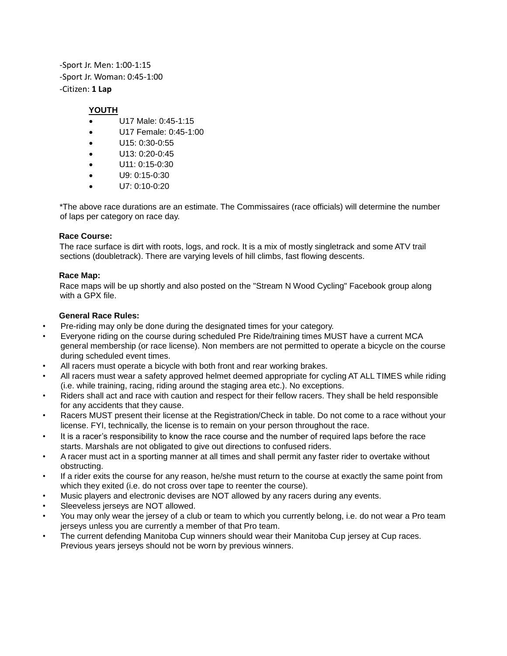-Sport Jr. Men: 1:00-1:15 -Sport Jr. Woman: 0:45-1:00 -Citizen: **1 Lap**

# **YOUTH**

- U17 Male: 0:45-1:15
- U17 Female: 0:45-1:00
- U15: 0:30-0:55
- U13: 0:20-0:45
- U11: 0:15-0:30
- U9: 0:15-0:30
- U7: 0:10-0:20

\*The above race durations are an estimate. The Commissaires (race officials) will determine the number of laps per category on race day.

# **Race Course:**

The race surface is dirt with roots, logs, and rock. It is a mix of mostly singletrack and some ATV trail sections (doubletrack). There are varying levels of hill climbs, fast flowing descents.

# **Race Map:**

Race maps will be up shortly and also posted on the "Stream N Wood Cycling" Facebook group along with a GPX file.

# **General Race Rules:**

- Pre-riding may only be done during the designated times for your category.
- Everyone riding on the course during scheduled Pre Ride/training times MUST have a current MCA general membership (or race license). Non members are not permitted to operate a bicycle on the course during scheduled event times.
- All racers must operate a bicycle with both front and rear working brakes.
- All racers must wear a safety approved helmet deemed appropriate for cycling AT ALL TIMES while riding (i.e. while training, racing, riding around the staging area etc.). No exceptions.
- Riders shall act and race with caution and respect for their fellow racers. They shall be held responsible for any accidents that they cause.
- Racers MUST present their license at the Registration/Check in table. Do not come to a race without your license. FYI, technically, the license is to remain on your person throughout the race.
- It is a racer's responsibility to know the race course and the number of required laps before the race starts. Marshals are not obligated to give out directions to confused riders.
- A racer must act in a sporting manner at all times and shall permit any faster rider to overtake without obstructing.
- If a rider exits the course for any reason, he/she must return to the course at exactly the same point from which they exited (i.e. do not cross over tape to reenter the course).
- Music players and electronic devises are NOT allowed by any racers during any events.
- Sleeveless jerseys are NOT allowed.
- You may only wear the jersey of a club or team to which you currently belong, i.e. do not wear a Pro team jerseys unless you are currently a member of that Pro team.
- The current defending Manitoba Cup winners should wear their Manitoba Cup jersey at Cup races. Previous years jerseys should not be worn by previous winners.